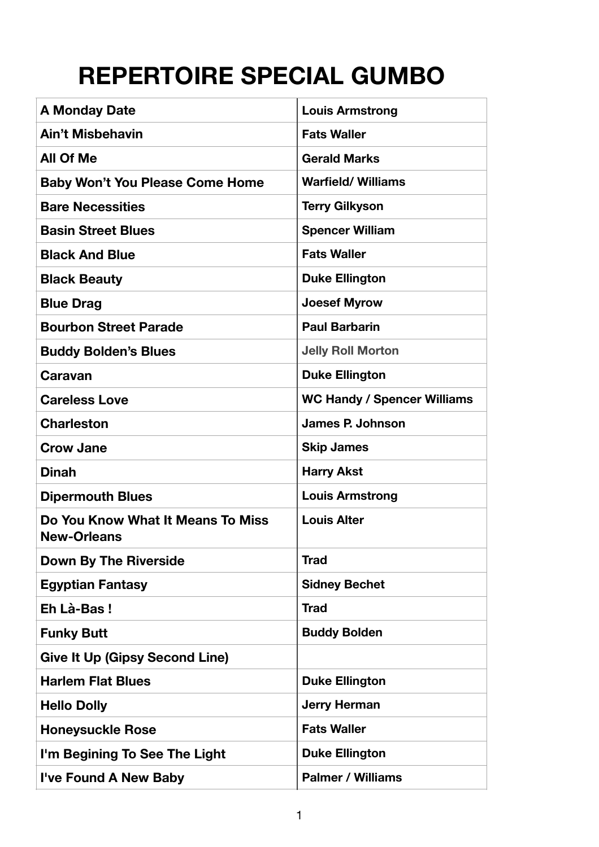## **REPERTOIRE SPECIAL GUMBO**

| <b>A Monday Date</b>                                    | <b>Louis Armstrong</b>             |
|---------------------------------------------------------|------------------------------------|
| <b>Ain't Misbehavin</b>                                 | <b>Fats Waller</b>                 |
| <b>All Of Me</b>                                        | <b>Gerald Marks</b>                |
| <b>Baby Won't You Please Come Home</b>                  | <b>Warfield/Williams</b>           |
| <b>Bare Necessities</b>                                 | <b>Terry Gilkyson</b>              |
| <b>Basin Street Blues</b>                               | <b>Spencer William</b>             |
| <b>Black And Blue</b>                                   | <b>Fats Waller</b>                 |
| <b>Black Beauty</b>                                     | <b>Duke Ellington</b>              |
| <b>Blue Drag</b>                                        | <b>Joesef Myrow</b>                |
| <b>Bourbon Street Parade</b>                            | <b>Paul Barbarin</b>               |
| <b>Buddy Bolden's Blues</b>                             | <b>Jelly Roll Morton</b>           |
| Caravan                                                 | <b>Duke Ellington</b>              |
| <b>Careless Love</b>                                    | <b>WC Handy / Spencer Williams</b> |
| <b>Charleston</b>                                       | <b>James P. Johnson</b>            |
| <b>Crow Jane</b>                                        | <b>Skip James</b>                  |
| <b>Dinah</b>                                            | <b>Harry Akst</b>                  |
| <b>Dipermouth Blues</b>                                 | <b>Louis Armstrong</b>             |
| Do You Know What It Means To Miss<br><b>New-Orleans</b> | <b>Louis Alter</b>                 |
| <b>Down By The Riverside</b>                            | <b>Trad</b>                        |
| <b>Egyptian Fantasy</b>                                 | <b>Sidney Bechet</b>               |
| Eh Là-Bas!                                              | <b>Trad</b>                        |
| <b>Funky Butt</b>                                       | <b>Buddy Bolden</b>                |
| <b>Give It Up (Gipsy Second Line)</b>                   |                                    |
| <b>Harlem Flat Blues</b>                                | <b>Duke Ellington</b>              |
| <b>Hello Dolly</b>                                      | <b>Jerry Herman</b>                |
| <b>Honeysuckle Rose</b>                                 | <b>Fats Waller</b>                 |
| I'm Begining To See The Light                           | <b>Duke Ellington</b>              |
| I've Found A New Baby                                   | <b>Palmer / Williams</b>           |